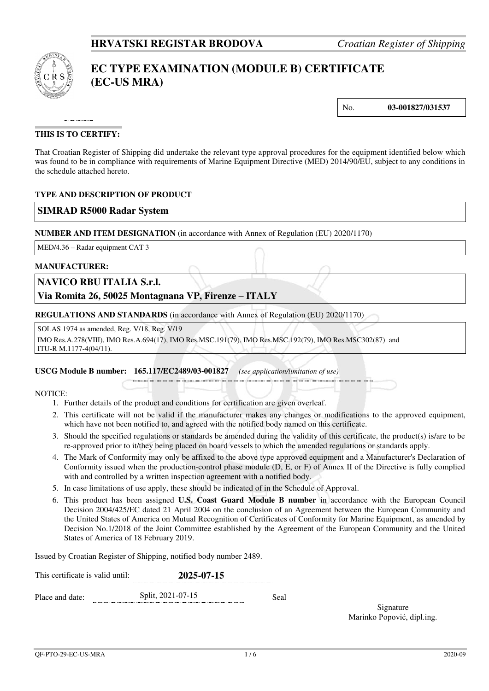

# **EC TYPE EXAMINATION (MODULE B) CERTIFICATE (EC-US MRA)**

No. **03-001827/031537** 

### **THIS IS TO CERTIFY:**

That Croatian Register of Shipping did undertake the relevant type approval procedures for the equipment identified below which was found to be in compliance with requirements of Marine Equipment Directive (MED) 2014/90/EU, subject to any conditions in the schedule attached hereto.

### **TYPE AND DESCRIPTION OF PRODUCT**

### **SIMRAD R5000 Radar System**

**NUMBER AND ITEM DESIGNATION** (in accordance with Annex of Regulation (EU) 2020/1170)

MED/4.36 – Radar equipment CAT 3

#### **MANUFACTURER:**

### **NAVICO RBU ITALIA S.r.l.**

**Via Romita 26, 50025 Montagnana VP, Firenze – ITALY**

**REGULATIONS AND STANDARDS** (in accordance with Annex of Regulation (EU) 2020/1170)

SOLAS 1974 as amended, Reg. V/18, Reg. V/19

IMO Res.A.278(VIII), IMO Res.A.694(17), IMO Res.MSC.191(79), IMO Res.MSC.192(79), IMO Res.MSC302(87) and ITU-R M.1177-4(04/11).

#### **USCG Module B number: 165.117/EC2489/03-001827** *(see application/limitation of use)*

NOTICE:

- 1. Further details of the product and conditions for certification are given overleaf.
- 2. This certificate will not be valid if the manufacturer makes any changes or modifications to the approved equipment, which have not been notified to, and agreed with the notified body named on this certificate.
- 3. Should the specified regulations or standards be amended during the validity of this certificate, the product(s) is/are to be re-approved prior to it/they being placed on board vessels to which the amended regulations or standards apply.
- 4. The Mark of Conformity may only be affixed to the above type approved equipment and a Manufacturer's Declaration of Conformity issued when the production-control phase module (D, E, or F) of Annex II of the Directive is fully complied with and controlled by a written inspection agreement with a notified body.
- 5. In case limitations of use apply, these should be indicated of in the Schedule of Approval.
- 6. This product has been assigned **U.S. Coast Guard Module B number** in accordance with the European Council Decision 2004/425/EC dated 21 April 2004 on the conclusion of an Agreement between the European Community and the United States of America on Mutual Recognition of Certificates of Conformity for Marine Equipment, as amended by Decision No.1/2018 of the Joint Committee established by the Agreement of the European Community and the United States of America of 18 February 2019.

Issued by Croatian Register of Shipping, notified body number 2489.

| This certificate is valid until: | 2025-07-15        |      |
|----------------------------------|-------------------|------|
| Place and date:                  | Split, 2021-07-15 | Seal |

Signature Marinko Popović, dipl.ing.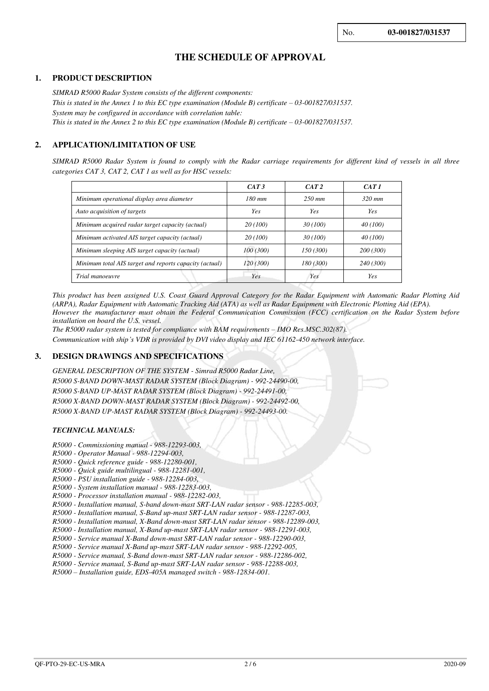## **THE SCHEDULE OF APPROVAL**

#### **1. PRODUCT DESCRIPTION**

*SIMRAD R5000 Radar System consists of the different components: This is stated in the Annex 1 to this EC type examination (Module B) certificate*  $-03-001827/031537$ *. System may be configured in accordance with correlation table: This is stated in the Annex 2 to this EC type examination (Module B) certificate – 03-001827/031537.* 

#### **2. APPLICATION/LIMITATION OF USE**

*SIMRAD R5000 Radar System is found to comply with the Radar carriage requirements for different kind of vessels in all three categories CAT 3, CAT 2, CAT 1 as well as for HSC vessels:* 

|                                                        | CAT3      | CAT2      | CAT 1     |
|--------------------------------------------------------|-----------|-----------|-----------|
| Minimum operational display area diameter              | $180$ mm  | $250$ mm  | $320$ mm  |
| Auto acquisition of targets                            | Yes       | Yes       | Yes       |
| Minimum acquired radar target capacity (actual)        | 20 (100)  | 30(100)   | 40 (100)  |
| Minimum activated AIS target capacity (actual)         | 20 (100)  | 30(100)   | 40 (100)  |
| Minimum sleeping AIS target capacity (actual)          | 100 (300) | 150 (300) | 200 (300) |
| Minimum total AIS target and reports capacity (actual) | 120 (300) | 180 (300) | 240 (300) |
| Trial manoeuvre                                        | Yes       | Yes       | Yes       |

*This product has been assigned U.S. Coast Guard Approval Category for the Radar Equipment with Automatic Radar Plotting Aid (ARPA), Radar Equipment with Automatic Tracking Aid (ATA) as well as Radar Equipment with Electronic Plotting Aid (EPA). However the manufacturer must obtain the Federal Communication Commission (FCC) certification on the Radar System before installation on board the U.S. vessel.* 

*The R5000 radar system is tested for compliance with BAM requirements – IMO Res.MSC.302(87).* 

*Communication with ship's VDR is provided by DVI video display and IEC 61162-450 network interface.*

#### **3. DESIGN DRAWINGS AND SPECIFICATIONS**

*GENERAL DESCRIPTION OF THE SYSTEM - Simrad R5000 Radar Line, R5000 S-BAND DOWN-MAST RADAR SYSTEM (Block Diagram) - 992-24490-00, R5000 S-BAND UP-MAST RADAR SYSTEM (Block Diagram) - 992-24491-00, R5000 X-BAND DOWN-MAST RADAR SYSTEM (Block Diagram) - 992-24492-00, R5000 X-BAND UP-MAST RADAR SYSTEM (Block Diagram) - 992-24493-00.*

#### *TECHNICAL MANUALS:*

- *R5000 Commissioning manual 988-12293-003,*
- *R5000 Operator Manual 988-12294-003,*
- *R5000 Quick reference guide 988-12280-001,*
- *R5000 Quick guide multilingual 988-12281-001,*
- *R5000 PSU installation guide 988-12284-003,*
- *R5000 System installation manual 988-12283-003,*
- *R5000 Processor installation manual 988-12282-003,*
- *R5000 Installation manual, S-band down-mast SRT-LAN radar sensor 988-12285-003,*
- *R5000 Installation manual, S-Band up-mast SRT-LAN radar sensor 988-12287-003,*
- *R5000 Installation manual, X-Band down-mast SRT-LAN radar sensor 988-12289-003,*
- *R5000 Installation manual, X-Band up-mast SRT-LAN radar sensor 988-12291-003,*
- *R5000 Service manual X-Band down-mast SRT-LAN radar sensor 988-12290-003, R5000 - Service manual X-Band up-mast SRT-LAN radar sensor - 988-12292-005,*
- *R5000 Service manual, S-Band down-mast SRT-LAN radar sensor 988-12286-002,*

*R5000 - Service manual, S-Band up-mast SRT-LAN radar sensor - 988-12288-003,* 

*R5000 – Installation guide, EDS-405A managed switch - 988-12834-001.*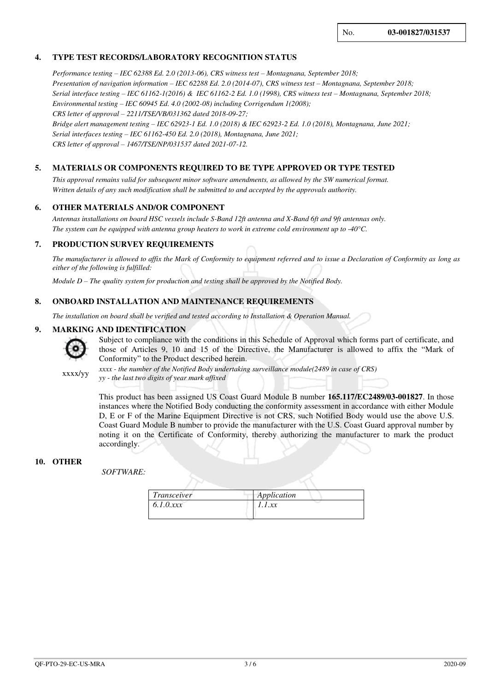### **4. TYPE TEST RECORDS/LABORATORY RECOGNITION STATUS**

*Performance testing – IEC 62388 Ed. 2.0 (2013-06), CRS witness test – Montagnana, September 2018; Presentation of navigation information – IEC 62288 Ed. 2.0 (2014-07), CRS witness test – Montagnana, September 2018; Serial interface testing – IEC 61162-1(2016) & IEC 61162-2 Ed. 1.0 (1998), CRS witness test – Montagnana, September 2018; Environmental testing – IEC 60945 Ed. 4.0 (2002-08) including Corrigendum 1(2008); CRS letter of approval – 2211/TSE/VB/031362 dated 2018-09-27; Bridge alert management testing – IEC 62923-1 Ed. 1.0 (2018) & IEC 62923-2 Ed. 1.0 (2018), Montagnana, June 2021; Serial interfaces testing – IEC 61162-450 Ed. 2.0 (2018), Montagnana, June 2021; CRS letter of approval – 1467/TSE/NP/031537 dated 2021-07-12.*

#### **5. MATERIALS OR COMPONENTS REQUIRED TO BE TYPE APPROVED OR TYPE TESTED**

*This approval remains valid for subsequent minor software amendments, as allowed by the SW numerical format. Written details of any such modification shall be submitted to and accepted by the approvals authority.* 

#### **6. OTHER MATERIALS AND/OR COMPONENT**

*Antennas installations on board HSC vessels include S-Band 12ft antenna and X-Band 6ft and 9ft antennas only. The system can be equipped with antenna group heaters to work in extreme cold environment up to -40°C.*

#### **7. PRODUCTION SURVEY REQUIREMENTS**

*The manufacturer is allowed to affix the Mark of Conformity to equipment referred and to issue a Declaration of Conformity as long as either of the following is fulfilled:* 

*Module D – The quality system for production and testing shall be approved by the Notified Body.* 

#### **8. ONBOARD INSTALLATION AND MAINTENANCE REQUIREMENTS**

*The installation on board shall be verified and tested according to Installation & Operation Manual.*

#### **9. MARKING AND IDENTIFICATION**



Subject to compliance with the conditions in this Schedule of Approval which forms part of certificate, and those of Articles 9, 10 and 15 of the Directive, the Manufacturer is allowed to affix the "Mark of Conformity" to the Product described herein.

xxxx/yy

*xxxx - the number of the Notified Body undertaking surveillance module(2489 in case of CRS) yy - the last two digits of year mark affixed*

This product has been assigned US Coast Guard Module B number **165.117/EC2489/03-001827**. In those instances where the Notified Body conducting the conformity assessment in accordance with either Module D, E or F of the Marine Equipment Directive is not CRS, such Notified Body would use the above U.S. Coast Guard Module B number to provide the manufacturer with the U.S. Coast Guard approval number by noting it on the Certificate of Conformity, thereby authorizing the manufacturer to mark the product accordingly.

#### **10. OTHER**

 *SOFTWARE:* 

| Transceiver | Application |  |
|-------------|-------------|--|
| 6.1.0xxx    | 1.1xx       |  |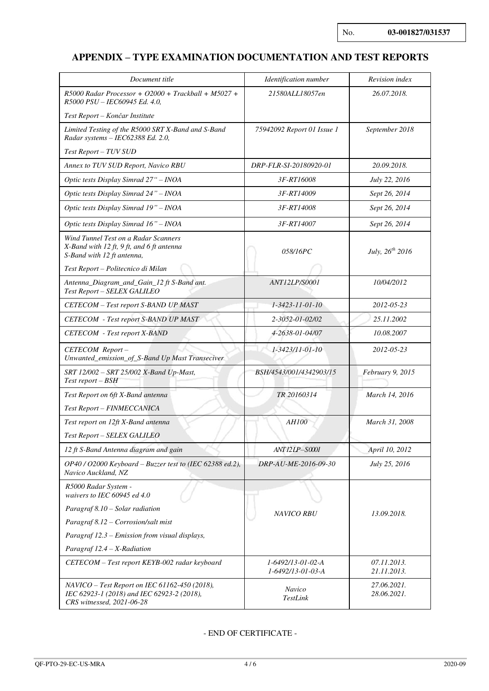## **APPENDIX – TYPE EXAMINATION DOCUMENTATION AND TEST REPORTS**

| Document title                                                                                                           | Identification number                  | Revision index             |
|--------------------------------------------------------------------------------------------------------------------------|----------------------------------------|----------------------------|
| $R5000$ Radar Processor + O2000 + Trackball + M5027 +                                                                    | 21580ALL18057en                        | 26.07.2018.                |
| R5000 PSU - IEC60945 Ed. 4.0,                                                                                            |                                        |                            |
| Test Report – Končar Institute                                                                                           |                                        |                            |
| Limited Testing of the R5000 SRT X-Band and S-Band<br>Radar systems - IEC62388 Ed. 2.0,                                  | 75942092 Report 01 Issue 1             | September 2018             |
| Test Report - TUV SUD                                                                                                    |                                        |                            |
| Annex to TUV SUD Report, Navico RBU                                                                                      | DRP-FLR-SI-20180920-01                 | 20.09.2018.                |
| Optic tests Display Simrad 27" - INOA                                                                                    | 3F-RT16008                             | <i>July 22, 2016</i>       |
| Optic tests Display Simrad 24" - INOA                                                                                    | 3F-RT14009                             | Sept 26, 2014              |
| Optic tests Display Simrad 19" - INOA                                                                                    | 3F-RT14008                             | Sept 26, 2014              |
| Optic tests Display Simrad 16" - INOA                                                                                    | 3F-RT14007                             | Sept 26, 2014              |
| Wind Tunnel Test on a Radar Scanners<br>X-Band with 12 ft, 9 ft, and 6 ft antenna<br>S-Band with 12 ft antenna,          | 058/16PC                               | July, $26^{th}$ 2016       |
| Test Report - Politecnico di Milan                                                                                       |                                        |                            |
| Antenna_Diagram_and_Gain_12 ft S-Band ant.<br>Test Report - SELEX GALILEO                                                | ANT12LP/S0001                          | 10/04/2012                 |
| CETECOM - Test report S-BAND UP MAST                                                                                     | $1 - 3423 - 11 - 01 - 10$              | 2012-05-23                 |
| <b>CETECOM</b> - Test report S-BAND UP MAST                                                                              | 2-3052-01-02/02                        | 25.11.2002                 |
| <b>CETECOM</b> - Test report X-BAND                                                                                      | 4-2638-01-04/07                        | 10.08.2007                 |
| CETECOM Report-<br>Unwanted_emission_of_S-Band Up Mast Transeciver                                                       | 1-3423/11-01-10                        | 2012-05-23                 |
| SRT 12/002 - SRT 25/002 X-Band Up-Mast,<br>Test report – BSH                                                             | BSH/4543/001/4342903/15                | February 9, 2015           |
| Test Report on 6ft X-Band antenna                                                                                        | TR 20160314                            | March 14, 2016             |
| Test Report - FINMECCANICA                                                                                               |                                        |                            |
| Test report on 12ft X-Band antenna                                                                                       | <b>AH100</b>                           | March 31, 2008             |
| Test Report - SELEX GALILEO                                                                                              |                                        |                            |
| 12 ft S-Band Antenna diagram and gain                                                                                    | ANT 12LP-S0001                         | April 10, 2012             |
| OP40 / O2000 Keyboard – Buzzer test to (IEC 62388 ed.2),<br>Navico Auckland, NZ                                          | DRP-AU-ME-2016-09-30                   | July 25, 2016              |
| R5000 Radar System -<br>waivers to IEC 60945 ed 4.0                                                                      |                                        |                            |
| Paragraf 8.10 - Solar radiation                                                                                          | <b>NAVICO RBU</b>                      | 13.09.2018.                |
| Paragraf 8.12 - Corrosion/salt mist                                                                                      |                                        |                            |
| Paragraf 12.3 – Emission from visual displays,                                                                           |                                        |                            |
| Paragraf $12.4 - X$ -Radiation                                                                                           |                                        |                            |
| CETECOM - Test report KEYB-002 radar keyboard                                                                            | 1-6492/13-01-02-A<br>1-6492/13-01-03-A | 07.11.2013.<br>21.11.2013. |
| $NAVICO-Test Report on IEC 61162-450 (2018),$<br>IEC 62923-1 (2018) and IEC 62923-2 (2018),<br>CRS witnessed, 2021-06-28 | Navico<br>TestLink                     | 27.06.2021.<br>28.06.2021. |

### - END OF CERTIFICATE -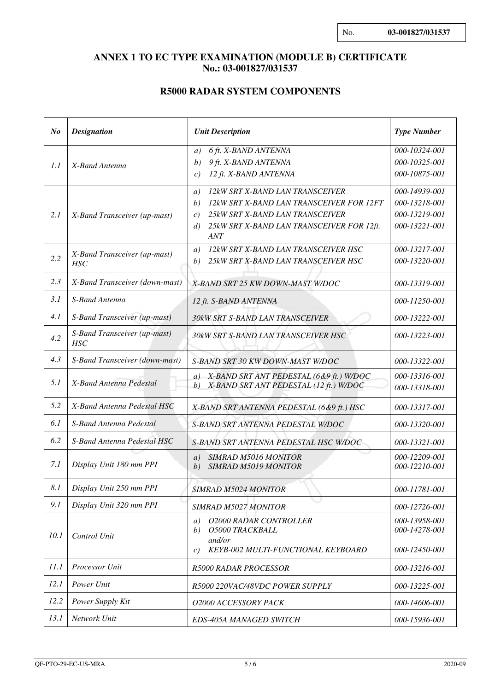## **ANNEX 1 TO EC TYPE EXAMINATION (MODULE B) CERTIFICATE No.: 03-001827/031537**

## **R5000 RADAR SYSTEM COMPONENTS**

| N <sub>o</sub> | <b>Designation</b>                         | <b>Unit Description</b>                                                                                                                                                                                                                        | <b>Type Number</b>                                                                |
|----------------|--------------------------------------------|------------------------------------------------------------------------------------------------------------------------------------------------------------------------------------------------------------------------------------------------|-----------------------------------------------------------------------------------|
| 1.1            | X-Band Antenna                             | 6 ft. X-BAND ANTENNA<br>a)<br>9 ft. X-BAND ANTENNA<br>b)<br>12 ft. X-BAND ANTENNA<br>c)                                                                                                                                                        | 000-10324-001<br>000-10325-001<br>000-10875-001                                   |
| 2.1            | X-Band Transceiver (up-mast)               | 12kW SRT X-BAND LAN TRANSCEIVER<br>a)<br>12kW SRT X-BAND LAN TRANSCEIVER FOR 12FT<br>b)<br>25kW SRT X-BAND LAN TRANSCEIVER<br>c)<br>25kW SRT X-BAND LAN TRANSCEIVER FOR 12ft.<br>d)<br><b>ANT</b><br>12kW SRT X-BAND LAN TRANSCEIVER HSC<br>a) | 000-14939-001<br>000-13218-001<br>000-13219-001<br>000-13221-001<br>000-13217-001 |
| 2.2            | X-Band Transceiver (up-mast)<br><b>HSC</b> | 25kW SRT X-BAND LAN TRANSCEIVER HSC<br>b)                                                                                                                                                                                                      | 000-13220-001                                                                     |
| 2.3            | X-Band Transceiver (down-mast)             | X-BAND SRT 25 KW DOWN-MAST W/DOC                                                                                                                                                                                                               | 000-13319-001                                                                     |
| 3.1            | S-Band Antenna                             | 12 ft. S-BAND ANTENNA                                                                                                                                                                                                                          | 000-11250-001                                                                     |
| 4.1            | S-Band Transceiver (up-mast)               | 30kW SRT S-BAND LAN TRANSCEIVER                                                                                                                                                                                                                | 000-13222-001                                                                     |
| 4.2            | S-Band Transceiver (up-mast)<br><b>HSC</b> | 30kW SRT S-BAND LAN TRANSCEIVER HSC                                                                                                                                                                                                            | 000-13223-001                                                                     |
| 4.3            | S-Band Transceiver (down-mast)             | S-BAND SRT 30 KW DOWN-MAST W/DOC                                                                                                                                                                                                               | 000-13322-001                                                                     |
| 5.1            | X-Band Antenna Pedestal                    | a) X-BAND SRT ANT PEDESTAL (6&9 ft.) W/DOC<br>X-BAND SRT ANT PEDESTAL (12 ft.) W/DOC<br>b)                                                                                                                                                     | 000-13316-001<br>000-13318-001                                                    |
| 5.2            | X-Band Antenna Pedestal HSC                | X-BAND SRT ANTENNA PEDESTAL (6&9 ft.) HSC                                                                                                                                                                                                      | 000-13317-001                                                                     |
| 6.1            | S-Band Antenna Pedestal                    | S-BAND SRT ANTENNA PEDESTAL W/DOC                                                                                                                                                                                                              | 000-13320-001                                                                     |
| 6.2            | S-Band Antenna Pedestal HSC                | S-BAND SRT ANTENNA PEDESTAL HSC W/DOC                                                                                                                                                                                                          | 000-13321-001                                                                     |
| 7.1            | Display Unit 180 mm PPI                    | <b>SIMRAD M5016 MONITOR</b><br>a)<br><b>SIMRAD M5019 MONITOR</b><br>b)                                                                                                                                                                         | 000-12209-001<br>000-12210-001                                                    |
| 8.1            | Display Unit 250 mm PPI                    | <b>SIMRAD M5024 MONITOR</b>                                                                                                                                                                                                                    | 000-11781-001                                                                     |
| 9.1            | Display Unit 320 mm PPI                    | <b>SIMRAD M5027 MONITOR</b>                                                                                                                                                                                                                    | 000-12726-001                                                                     |
| 10.1           | Control Unit                               | <b>O2000 RADAR CONTROLLER</b><br>a)<br>O5000 TRACKBALL<br>b)<br>and/or<br>KEYB-002 MULTI-FUNCTIONAL KEYBOARD<br>$\mathcal{C}$ )                                                                                                                | 000-13958-001<br>000-14278-001<br>000-12450-001                                   |
| 11.1           | Processor Unit                             | <b>R5000 RADAR PROCESSOR</b>                                                                                                                                                                                                                   | 000-13216-001                                                                     |
| 12.1           | Power Unit                                 | R5000 220VAC/48VDC POWER SUPPLY                                                                                                                                                                                                                | 000-13225-001                                                                     |
| 12.2           | Power Supply Kit                           | O2000 ACCESSORY PACK                                                                                                                                                                                                                           | 000-14606-001                                                                     |
| 13.1           | Network Unit                               | EDS-405A MANAGED SWITCH                                                                                                                                                                                                                        | 000-15936-001                                                                     |